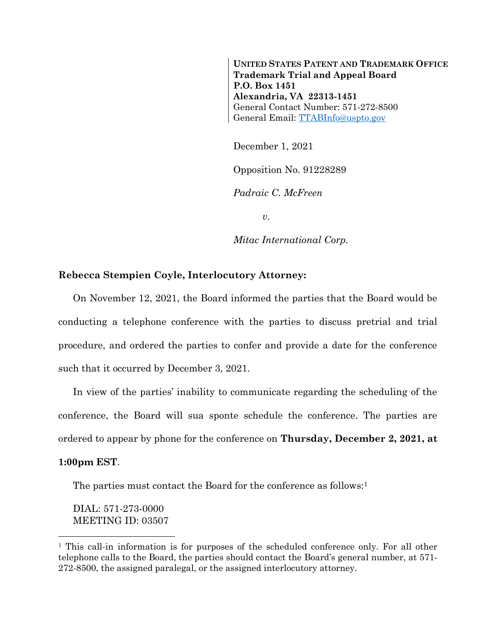**UNITED STATES PATENT AND TRADEMARK OFFICE Trademark Trial and Appeal Board P.O. Box 1451 Alexandria, VA 22313-1451** General Contact Number: 571-272-8500 General Email: [TTABInfo@uspto.gov](mailto:TTABInfo@uspto.gov)

December 1, 2021 Opposition No. 91228289 *Padraic C. McFreen*

*v.*

*Mitac International Corp.*

## **Rebecca Stempien Coyle, Interlocutory Attorney:**

On November 12, 2021, the Board informed the parties that the Board would be conducting a telephone conference with the parties to discuss pretrial and trial procedure, and ordered the parties to confer and provide a date for the conference such that it occurred by December 3, 2021.

In view of the parties' inability to communicate regarding the scheduling of the conference, the Board will sua sponte schedule the conference. The parties are ordered to appear by phone for the conference on **Thursday, December 2, 2021, at 1:00pm EST**.

The parties must contact the Board for the conference as follows:<sup>1</sup>

DIAL: 571-273-0000 MEETING ID: 03507

l

<sup>&</sup>lt;sup>1</sup> This call-in information is for purposes of the scheduled conference only. For all other telephone calls to the Board, the parties should contact the Board's general number, at 571- 272-8500, the assigned paralegal, or the assigned interlocutory attorney.